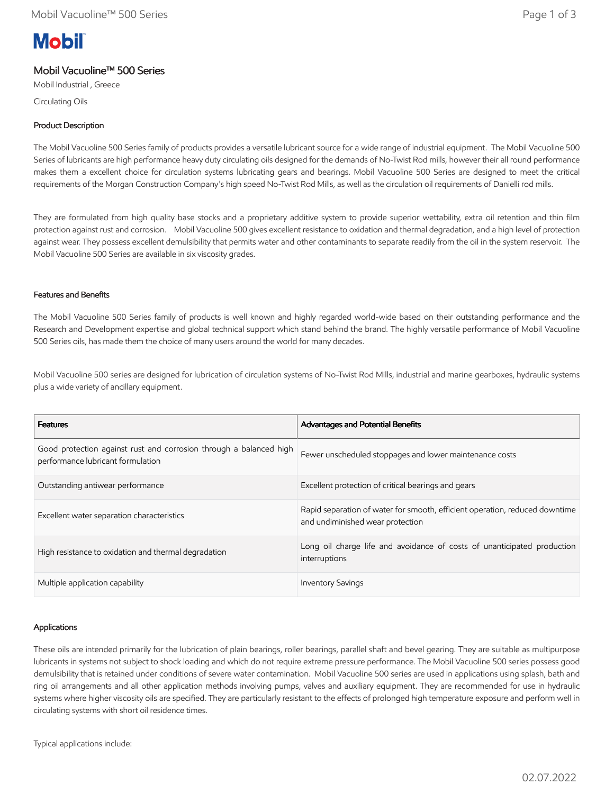# **Mobil**

## Mobil Vacuoline™ 500 Series

Mobil Industrial , Greece Circulating Oils

## Product Description

The Mobil Vacuoline 500 Series family of products provides a versatile lubricant source for a wide range of industrial equipment. The Mobil Vacuoline 500 Series of lubricants are high performance heavy duty circulating oils designed for the demands of No-Twist Rod mills, however their all round performance makes them a excellent choice for circulation systems lubricating gears and bearings. Mobil Vacuoline 500 Series are designed to meet the critical requirements of the Morgan Construction Company's high speed No-Twist Rod Mills, as well as the circulation oil requirements of Danielli rod mills.

They are formulated from high quality base stocks and a proprietary additive system to provide superior wettability, extra oil retention and thin film protection against rust and corrosion. Mobil Vacuoline 500 gives excellent resistance to oxidation and thermal degradation, and a high level of protection against wear. They possess excellent demulsibility that permits water and other contaminants to separate readily from the oil in the system reservoir. The Mobil Vacuoline 500 Series are available in six viscosity grades.

## Features and Benefits

The Mobil Vacuoline 500 Series family of products is well known and highly regarded world-wide based on their outstanding performance and the Research and Development expertise and global technical support which stand behind the brand. The highly versatile performance of Mobil Vacuoline 500 Series oils, has made them the choice of many users around the world for many decades.

Mobil Vacuoline 500 series are designed for lubrication of circulation systems of No-Twist Rod Mills, industrial and marine gearboxes, hydraulic systems plus a wide variety of ancillary equipment.

| <b>Features</b>                                                                                         | <b>Advantages and Potential Benefits</b>                                                                        |
|---------------------------------------------------------------------------------------------------------|-----------------------------------------------------------------------------------------------------------------|
| Good protection against rust and corrosion through a balanced high<br>performance lubricant formulation | Fewer unscheduled stoppages and lower maintenance costs                                                         |
| Outstanding antiwear performance                                                                        | Excellent protection of critical bearings and gears                                                             |
| Excellent water separation characteristics                                                              | Rapid separation of water for smooth, efficient operation, reduced downtime<br>and undiminished wear protection |
| High resistance to oxidation and thermal degradation                                                    | Long oil charge life and avoidance of costs of unanticipated production<br>interruptions                        |
| Multiple application capability                                                                         | <b>Inventory Savings</b>                                                                                        |

## Applications

These oils are intended primarily for the lubrication of plain bearings, roller bearings, parallel shaft and bevel gearing. They are suitable as multipurpose lubricants in systems not subject to shock loading and which do not require extreme pressure performance. The Mobil Vacuoline 500 series possess good demulsibility that is retained under conditions of severe water contamination. Mobil Vacuoline 500 series are used in applications using splash, bath and ring oil arrangements and all other application methods involving pumps, valves and auxiliary equipment. They are recommended for use in hydraulic systems where higher viscosity oils are specified. They are particularly resistant to the effects of prolonged high temperature exposure and perform well in circulating systems with short oil residence times.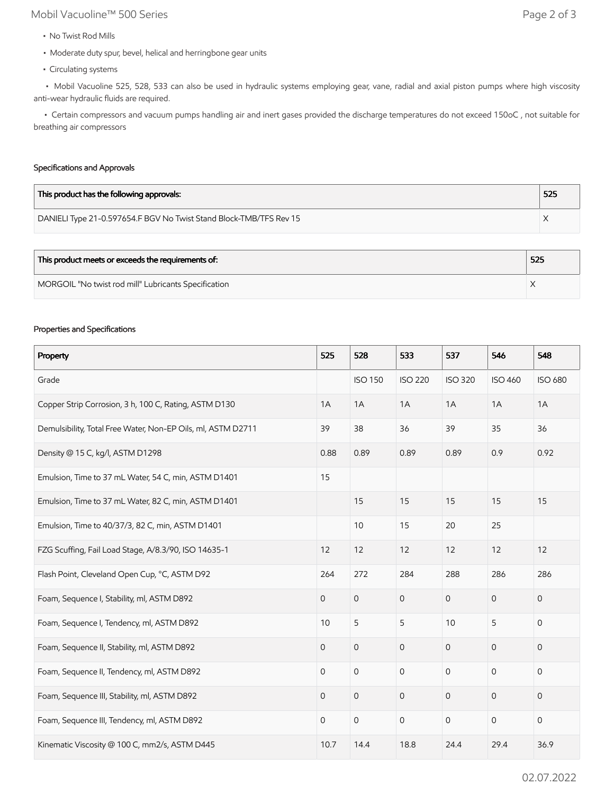# Mobil Vacuoline™ 500 Series Page 2 of 3

- No Twist Rod Mills
- Moderate duty spur, bevel, helical and herringbone gear units
- Circulating systems

 • Mobil Vacuoline 525, 528, 533 can also be used in hydraulic systems employing gear, vane, radial and axial piston pumps where high viscosity anti-wear hydraulic fluids are required.

 • Certain compressors and vacuum pumps handling air and inert gases provided the discharge temperatures do not exceed 150oC , not suitable for breathing air compressors

## Specifications and Approvals

| This product has the following approvals:                          | 525 |
|--------------------------------------------------------------------|-----|
| DANIELI Type 21-0.597654.F BGV No Twist Stand Block-TMB/TFS Rev 15 |     |

| This product meets or exceeds the requirements of:   | 525 |
|------------------------------------------------------|-----|
| MORGOIL "No twist rod mill" Lubricants Specification |     |

#### Properties and Specifications

| Property                                                     | 525            | 528                 | 533                 | 537            | 546            | 548            |
|--------------------------------------------------------------|----------------|---------------------|---------------------|----------------|----------------|----------------|
| Grade                                                        |                | <b>ISO 150</b>      | <b>ISO 220</b>      | <b>ISO 320</b> | <b>ISO 460</b> | <b>ISO 680</b> |
| Copper Strip Corrosion, 3 h, 100 C, Rating, ASTM D130        | 1A             | 1A                  | 1A                  | 1A             | 1A             | 1A             |
| Demulsibility, Total Free Water, Non-EP Oils, ml, ASTM D2711 | 39             | 38                  | 36                  | 39             | 35             | 36             |
| Density @ 15 C, kg/l, ASTM D1298                             | 0.88           | 0.89                | 0.89                | 0.89           | 0.9            | 0.92           |
| Emulsion, Time to 37 mL Water, 54 C, min, ASTM D1401         | 15             |                     |                     |                |                |                |
| Emulsion, Time to 37 mL Water, 82 C, min, ASTM D1401         |                | 15                  | 15                  | 15             | 15             | 15             |
| Emulsion, Time to 40/37/3, 82 C, min, ASTM D1401             |                | 10                  | 15                  | 20             | 25             |                |
| FZG Scuffing, Fail Load Stage, A/8.3/90, ISO 14635-1         | 12             | 12                  | 12                  | 12             | 12             | 12             |
| Flash Point, Cleveland Open Cup, °C, ASTM D92                | 264            | 272                 | 284                 | 288            | 286            | 286            |
| Foam, Sequence I, Stability, ml, ASTM D892                   | $\overline{0}$ | $\mathsf{O}\xspace$ | $\mathsf O$         | $\mathbf 0$    | $\mathbf{0}$   | 0              |
| Foam, Sequence I, Tendency, ml, ASTM D892                    | 10             | 5                   | 5                   | 10             | 5              | $\mathsf{O}$   |
| Foam, Sequence II, Stability, ml, ASTM D892                  | $\overline{0}$ | $\mathsf{O}\xspace$ | $\mathsf O$         | $\overline{0}$ | $\mathbf{O}$   | 0              |
| Foam, Sequence II, Tendency, ml, ASTM D892                   | 0              | $\mathbf 0$         | $\mathbf 0$         | $\mathbf 0$    | $\mathbf{0}$   | 0              |
| Foam, Sequence III, Stability, ml, ASTM D892                 | 0              | $\mathsf{O}\xspace$ | $\mathsf{O}$        | $\mathbf{O}$   | $\mathbf 0$    | 0              |
| Foam, Sequence III, Tendency, ml, ASTM D892                  | $\mathbf 0$    | $\mathsf{O}\xspace$ | $\mathsf{O}\xspace$ | $\mathbf 0$    | $\mathsf{O}$   | $\mathsf{O}$   |
| Kinematic Viscosity @ 100 C, mm2/s, ASTM D445                | 10.7           | 14.4                | 18.8                | 24.4           | 29.4           | 36.9           |